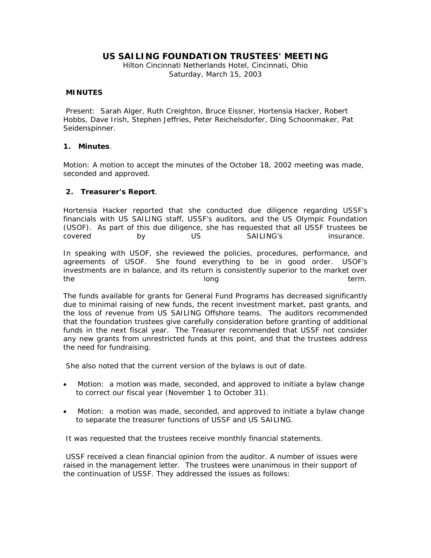# **US SAILING FOUNDATION TRUSTEES' MEETING**

Hilton Cincinnati Netherlands Hotel, Cincinnati, Ohio Saturday, March 15, 2003

### **MINUTES**

 Present: Sarah Alger, Ruth Creighton, Bruce Eissner, Hortensia Hacker, Robert Hobbs, Dave Irish, Stephen Jeffries, Peter Reichelsdorfer, Ding Schoonmaker, Pat Seidenspinner.

### **1. Minutes**.

Motion: A motion to accept the minutes of the October 18, 2002 meeting was made, seconded and approved.

### **2. Treasurer's Report**.

Hortensia Hacker reported that she conducted due diligence regarding USSF's financials with US SAILING staff, USSF's auditors, and the US Olympic Foundation (USOF). As part of this due diligence, she has requested that all USSF trustees be covered by US SAILING's insurance.

In speaking with USOF, she reviewed the policies, procedures, performance, and agreements of USOF. She found everything to be in good order. USOF's investments are in balance, and its return is consistently superior to the market over the long term. The long term of the long term.

The funds available for grants for General Fund Programs has decreased significantly due to minimal raising of new funds, the recent investment market, past grants, and the loss of revenue from US SAILING Offshore teams. The auditors recommended that the foundation trustees give carefully consideration before granting of additional funds in the next fiscal year. The Treasurer recommended that USSF not consider any new grants from unrestricted funds at this point, and that the trustees address the need for fundraising.

She also noted that the current version of the bylaws is out of date.

- *Motion*: a motion was made, seconded, and approved to initiate a bylaw change to correct our fiscal year (November 1 to October 31).
- *Motion*: a motion was made, seconded, and approved to initiate a bylaw change to separate the treasurer functions of USSF and US SAILING.

It was requested that the trustees receive monthly financial statements.

 USSF received a clean financial opinion from the auditor. A number of issues were raised in the management letter. The trustees were unanimous in their support of the continuation of USSF. They addressed the issues as follows: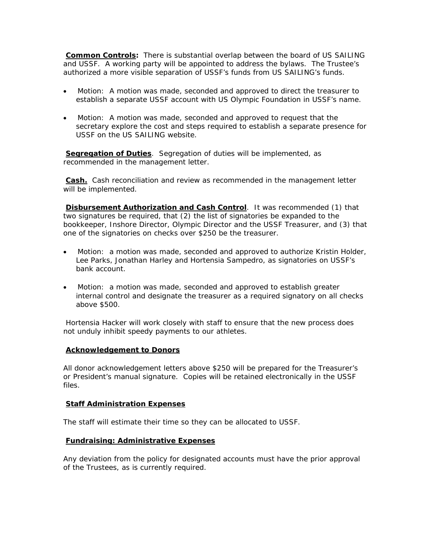**Common Controls:** There is substantial overlap between the board of US SAILING and USSF. A working party will be appointed to address the bylaws. The Trustee's authorized a more visible separation of USSF's funds from US SAILING's funds.

- *Motion*: A motion was made, seconded and approved to direct the treasurer to establish a separate USSF account with US Olympic Foundation in USSF's name.
- *Motion*: A motion was made, seconded and approved to request that the secretary explore the cost and steps required to establish a separate presence for USSF on the US SAILING website.

**Segregation of Duties**. Segregation of duties will be implemented, as recommended in the management letter.

**Cash.** Cash reconciliation and review as recommended in the management letter will be implemented.

**Disbursement Authorization and Cash Control**. It was recommended (1) that two signatures be required, that (2) the list of signatories be expanded to the bookkeeper, Inshore Director, Olympic Director and the USSF Treasurer, and (3) that one of the signatories on checks over \$250 be the treasurer.

- *Motion*: a motion was made, seconded and approved to authorize Kristin Holder, Lee Parks, Jonathan Harley and Hortensia Sampedro, as signatories on USSF's bank account.
- *Motion*: a motion was made, seconded and approved to establish greater internal control and designate the treasurer as a required signatory on all checks above \$500.

 Hortensia Hacker will work closely with staff to ensure that the new process does not unduly inhibit speedy payments to our athletes.

#### **Acknowledgement to Donors**

All donor acknowledgement letters above \$250 will be prepared for the Treasurer's or President's manual signature. Copies will be retained electronically in the USSF files.

## **Staff Administration Expenses**

The staff will estimate their time so they can be allocated to USSF.

#### **Fundraising: Administrative Expenses**

Any deviation from the policy for designated accounts must have the prior approval of the Trustees, as is currently required.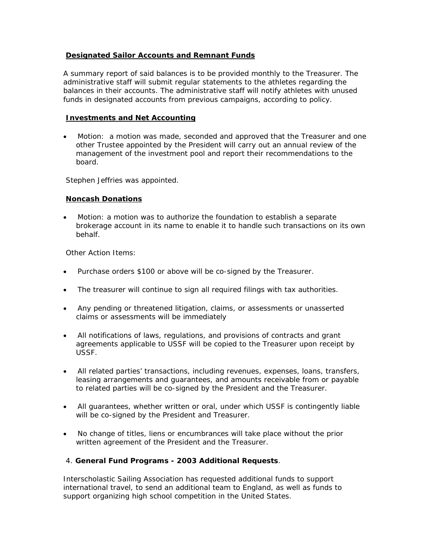## **Designated Sailor Accounts and Remnant Funds**

A summary report of said balances is to be provided monthly to the Treasurer. The administrative staff will submit regular statements to the athletes regarding the balances in their accounts. The administrative staff will notify athletes with unused funds in designated accounts from previous campaigns, according to policy.

## **Investments and Net Accounting**

• *Motion*: a motion was made, seconded and approved that the Treasurer and one other Trustee appointed by the President will carry out an annual review of the management of the investment pool and report their recommendations to the board.

Stephen Jeffries was appointed.

### **Noncash Donations**

• *Motion*: a motion was to authorize the foundation to establish a separate brokerage account in its name to enable it to handle such transactions on its own behalf.

Other Action Items:

- Purchase orders \$100 or above will be co-signed by the Treasurer.
- The treasurer will continue to sign all required filings with tax authorities.
- Any pending or threatened litigation, claims, or assessments or unasserted claims or assessments will be immediately
- All notifications of laws, regulations, and provisions of contracts and grant agreements applicable to USSF will be copied to the Treasurer upon receipt by USSF.
- All related parties' transactions, including revenues, expenses, loans, transfers, leasing arrangements and guarantees, and amounts receivable from or payable to related parties will be co-signed by the President and the Treasurer.
- All guarantees, whether written or oral, under which USSF is contingently liable will be co-signed by the President and Treasurer.
- No change of titles, liens or encumbrances will take place without the prior written agreement of the President and the Treasurer.

## 4. **General Fund Programs - 2003 Additional Requests**.

Interscholastic Sailing Association has requested additional funds to support international travel, to send an additional team to England, as well as funds to support organizing high school competition in the United States.